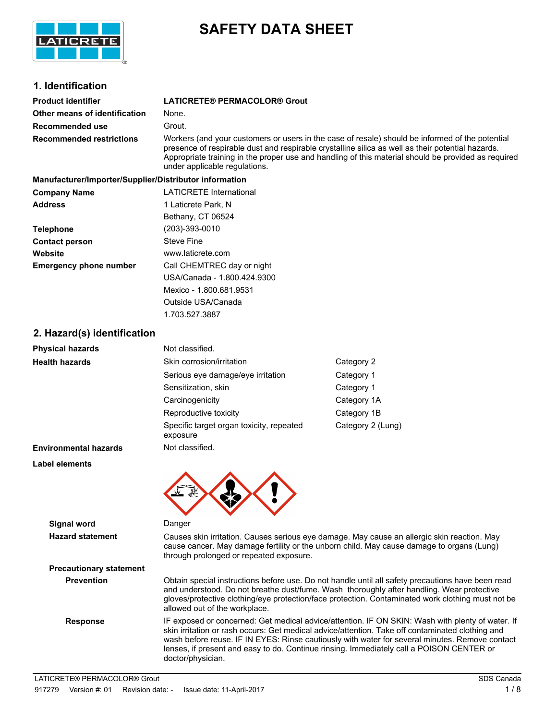

# **SAFETY DATA SHEET**

# **1. Identification**

| <b>Product identifier</b>       | <b>LATICRETE® PERMACOLOR® Grout</b>                                                                                                                                                                                                                                                                         |
|---------------------------------|-------------------------------------------------------------------------------------------------------------------------------------------------------------------------------------------------------------------------------------------------------------------------------------------------------------|
| Other means of identification   | None.                                                                                                                                                                                                                                                                                                       |
| Recommended use                 | Grout.                                                                                                                                                                                                                                                                                                      |
| <b>Recommended restrictions</b> | Workers (and your customers or users in the case of resale) should be informed of the potential<br>presence of respirable dust and respirable crystalline silica as well as their potential hazards.<br>Appropriate training in the proper use and handling of this material should be provided as required |

|                                                        | under applicable regulations.  |
|--------------------------------------------------------|--------------------------------|
| Manufacturer/Importer/Supplier/Distributor information |                                |
| <b>Company Name</b>                                    | <b>LATICRETE International</b> |
| Address                                                | 1 Laticrete Park, N            |
|                                                        | Bethany, CT 06524              |
| Telephone                                              | (203)-393-0010                 |
| <b>Contact person</b>                                  | <b>Steve Fine</b>              |
| Website                                                | www.laticrete.com              |
| <b>Emergency phone number</b>                          | Call CHEMTREC day or night     |
|                                                        | USA/Canada - 1.800.424.9300    |
|                                                        | Mexico - 1.800.681.9531        |
|                                                        | Outside USA/Canada             |

# **2. Hazard(s) identification**

| <b>Physical hazards</b>           | Not classified.                                      |                   |
|-----------------------------------|------------------------------------------------------|-------------------|
| <b>Health hazards</b>             | Skin corrosion/irritation                            | Category 2        |
|                                   | Serious eye damage/eye irritation                    | Category 1        |
|                                   | Sensitization, skin                                  | Category 1        |
|                                   | Carcinogenicity                                      | Category 1A       |
|                                   | Reproductive toxicity                                | Category 1B       |
|                                   | Specific target organ toxicity, repeated<br>exposure | Category 2 (Lung) |
| <b>Environmental hazards</b>      | Not classified.                                      |                   |
| المتلامين ومعرفا المسالم والمرابط |                                                      |                   |

1.703.527.3887

**Label elements**



| Signal word                    | Danger                                                                                                                                                                                                                                                                                                                                                                                                                  |
|--------------------------------|-------------------------------------------------------------------------------------------------------------------------------------------------------------------------------------------------------------------------------------------------------------------------------------------------------------------------------------------------------------------------------------------------------------------------|
| <b>Hazard statement</b>        | Causes skin irritation. Causes serious eye damage. May cause an allergic skin reaction. May<br>cause cancer. May damage fertility or the unborn child. May cause damage to organs (Lung)<br>through prolonged or repeated exposure.                                                                                                                                                                                     |
| <b>Precautionary statement</b> |                                                                                                                                                                                                                                                                                                                                                                                                                         |
| <b>Prevention</b>              | Obtain special instructions before use. Do not handle until all safety precautions have been read<br>and understood. Do not breathe dust/fume. Wash thoroughly after handling. Wear protective<br>gloves/protective clothing/eye protection/face protection. Contaminated work clothing must not be<br>allowed out of the workplace.                                                                                    |
| <b>Response</b>                | IF exposed or concerned: Get medical advice/attention. IF ON SKIN: Wash with plenty of water. If<br>skin irritation or rash occurs: Get medical advice/attention. Take off contaminated clothing and<br>wash before reuse. IF IN EYES: Rinse cautiously with water for several minutes. Remove contact<br>lenses, if present and easy to do. Continue rinsing. Immediately call a POISON CENTER or<br>doctor/physician. |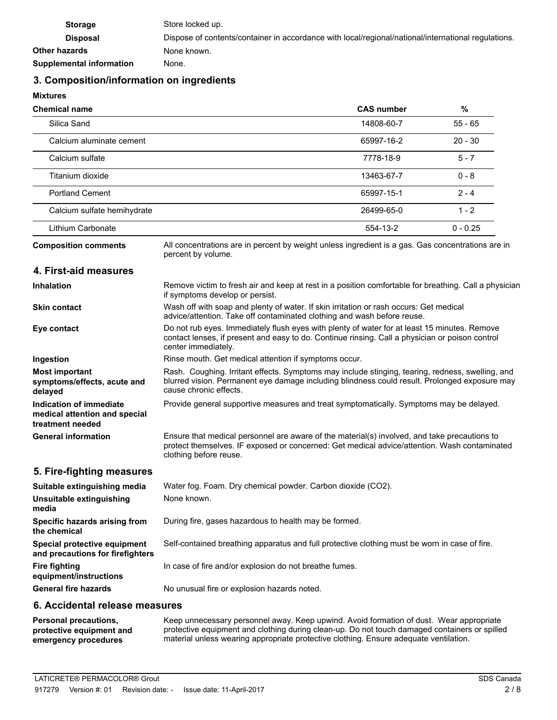| <b>Storage</b>                  | Store locked up.                                                                                    |
|---------------------------------|-----------------------------------------------------------------------------------------------------|
| <b>Disposal</b>                 | Dispose of contents/container in accordance with local/regional/national/international regulations. |
| Other hazards                   | None known.                                                                                         |
| <b>Supplemental information</b> | None.                                                                                               |

# **3. Composition/information on ingredients**

**Mixtures**

| <b>Chemical name</b>        |                                                                                                                         | <b>CAS number</b> | %          |
|-----------------------------|-------------------------------------------------------------------------------------------------------------------------|-------------------|------------|
| Silica Sand                 |                                                                                                                         | 14808-60-7        | $55 - 65$  |
| Calcium aluminate cement    |                                                                                                                         | 65997-16-2        | $20 - 30$  |
| Calcium sulfate             |                                                                                                                         | 7778-18-9         | $5 - 7$    |
| Titanium dioxide            |                                                                                                                         | 13463-67-7        | $0 - 8$    |
| <b>Portland Cement</b>      |                                                                                                                         | 65997-15-1        | $2 - 4$    |
| Calcium sulfate hemihydrate |                                                                                                                         | 26499-65-0        | $1 - 2$    |
| Lithium Carbonate           |                                                                                                                         | 554-13-2          | $0 - 0.25$ |
| <b>Composition comments</b> | All concentrations are in percent by weight unless ingredient is a gas. Gas concentrations are in<br>percent by volume. |                   |            |

#### **4. First-aid measures**

| <b>Inhalation</b>                                                            | Remove victim to fresh air and keep at rest in a position comfortable for breathing. Call a physician<br>if symptoms develop or persist.                                                                                    |
|------------------------------------------------------------------------------|-----------------------------------------------------------------------------------------------------------------------------------------------------------------------------------------------------------------------------|
| <b>Skin contact</b>                                                          | Wash off with soap and plenty of water. If skin irritation or rash occurs: Get medical<br>advice/attention. Take off contaminated clothing and wash before reuse.                                                           |
| Eye contact                                                                  | Do not rub eyes. Immediately flush eyes with plenty of water for at least 15 minutes. Remove<br>contact lenses, if present and easy to do. Continue rinsing. Call a physician or poison control<br>center immediately.      |
| Ingestion                                                                    | Rinse mouth. Get medical attention if symptoms occur.                                                                                                                                                                       |
| <b>Most important</b><br>symptoms/effects, acute and<br>delayed              | Rash. Coughing. Irritant effects. Symptoms may include stinging, tearing, redness, swelling, and<br>blurred vision. Permanent eye damage including blindness could result. Prolonged exposure may<br>cause chronic effects. |
| Indication of immediate<br>medical attention and special<br>treatment needed | Provide general supportive measures and treat symptomatically. Symptoms may be delayed.                                                                                                                                     |
| <b>General information</b>                                                   | Ensure that medical personnel are aware of the material(s) involved, and take precautions to<br>protect themselves. IF exposed or concerned: Get medical advice/attention. Wash contaminated<br>clothing before reuse.      |

### **5. Fire-fighting measures**

| Suitable extinguishing media                                     | Water fog. Foam. Dry chemical powder. Carbon dioxide (CO2).                                   |
|------------------------------------------------------------------|-----------------------------------------------------------------------------------------------|
| Unsuitable extinguishing<br>media                                | None known.                                                                                   |
| Specific hazards arising from<br>the chemical                    | During fire, gases hazardous to health may be formed.                                         |
| Special protective equipment<br>and precautions for firefighters | Self-contained breathing apparatus and full protective clothing must be worn in case of fire. |
| Fire fighting<br>equipment/instructions                          | In case of fire and/or explosion do not breathe fumes.                                        |
| <b>General fire hazards</b>                                      | No unusual fire or explosion hazards noted.                                                   |

# **6. Accidental release measures**

Keep unnecessary personnel away. Keep upwind. Avoid formation of dust. Wear appropriate protective equipment and clothing during clean-up. Do not touch damaged containers or spilled material unless wearing appropriate protective clothing. Ensure adequate ventilation. **Personal precautions, protective equipment and emergency procedures**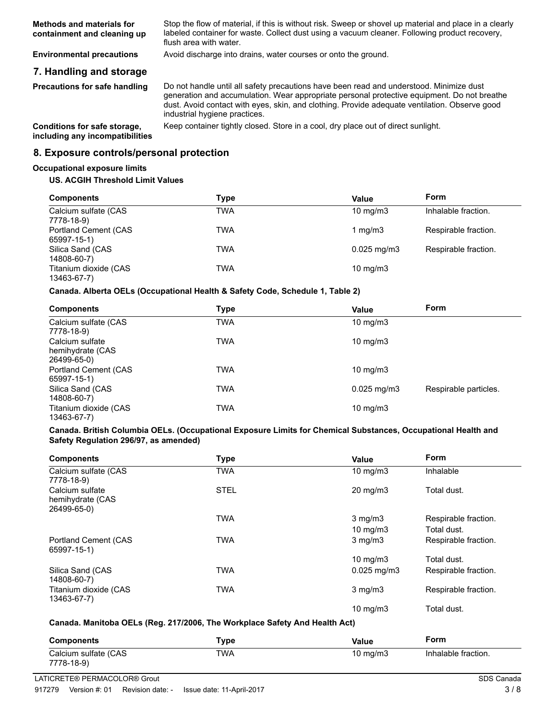Stop the flow of material, if this is without risk. Sweep or shovel up material and place in a clearly labeled container for waste. Collect dust using a vacuum cleaner. Following product recovery, flush area with water. **Methods and materials for containment and cleaning up**

**Environmental precautions** Avoid discharge into drains, water courses or onto the ground.

# **7. Handling and storage**

**Precautions for safe handling**

Do not handle until all safety precautions have been read and understood. Minimize dust generation and accumulation. Wear appropriate personal protective equipment. Do not breathe dust. Avoid contact with eyes, skin, and clothing. Provide adequate ventilation. Observe good industrial hygiene practices.

**including any incompatibilities**

**Conditions for safe storage,** Keep container tightly closed. Store in a cool, dry place out of direct sunlight.

#### **8. Exposure controls/personal protection**

#### **Occupational exposure limits**

#### **US. ACGIH Threshold Limit Values**

| <b>Components</b>                    | Type       | Value                  | Form                 |
|--------------------------------------|------------|------------------------|----------------------|
| Calcium sulfate (CAS<br>7778-18-9)   | TWA        | $10 \text{ mg/m}$      | Inhalable fraction.  |
| Portland Cement (CAS<br>65997-15-1)  | TWA        | 1 $mq/m3$              | Respirable fraction. |
| Silica Sand (CAS<br>14808-60-7)      | <b>TWA</b> | $0.025 \text{ mg/m}$ 3 | Respirable fraction. |
| Titanium dioxide (CAS<br>13463-67-7) | TWA        | $10 \text{ mg/m}$      |                      |

#### **Canada. Alberta OELs (Occupational Health & Safety Code, Schedule 1, Table 2)**

| <b>Components</b>                                  | Type | Value                    | Form                  |
|----------------------------------------------------|------|--------------------------|-----------------------|
| Calcium sulfate (CAS<br>7778-18-9)                 | TWA  | $10 \text{ mg/m}$        |                       |
| Calcium sulfate<br>hemihydrate (CAS<br>26499-65-0) | TWA  | $10 \text{ mg/m}$        |                       |
| <b>Portland Cement (CAS)</b><br>65997-15-1)        | TWA  | $10 \text{ mg/m}$        |                       |
| Silica Sand (CAS<br>14808-60-7)                    | TWA  | $0.025 \,\mathrm{mq/m3}$ | Respirable particles. |
| Titanium dioxide (CAS<br>13463-67-7)               | TWA  | 10 mg/m $3$              |                       |

#### **Canada. British Columbia OELs. (Occupational Exposure Limits for Chemical Substances, Occupational Health and Safety Regulation 296/97, as amended)**

| <b>Components</b>                                  | Type        | Value                             | <b>Form</b>                         |
|----------------------------------------------------|-------------|-----------------------------------|-------------------------------------|
| Calcium sulfate (CAS<br>7778-18-9)                 | <b>TWA</b>  | $10 \text{ mg/m}$                 | Inhalable                           |
| Calcium sulfate<br>hemihydrate (CAS<br>26499-65-0) | <b>STEL</b> | $20 \text{ mg/m}$                 | Total dust.                         |
|                                                    | <b>TWA</b>  | $3$ mg/m $3$<br>$10 \text{ mg/m}$ | Respirable fraction.<br>Total dust. |
| Portland Cement (CAS<br>65997-15-1)                | TWA         | $3$ mg/m $3$                      | Respirable fraction.                |
|                                                    |             | 10 mg/m $3$                       | Total dust.                         |
| Silica Sand (CAS<br>14808-60-7)                    | TWA         | $0.025$ mg/m $3$                  | Respirable fraction.                |
| Titanium dioxide (CAS<br>13463-67-7)               | TWA         | $3$ mg/m $3$                      | Respirable fraction.                |
|                                                    |             | $10 \text{ mg/m}$                 | Total dust.                         |

#### **Canada. Manitoba OELs (Reg. 217/2006, The Workplace Safety And Health Act)**

| Components           | $\mathsf{Type}$ | Value       | Form                |
|----------------------|-----------------|-------------|---------------------|
| Calcium sulfate (CAS | TWA             | 10 mg/m $3$ | Inhalable fraction. |
| 7778-18-9)           |                 |             |                     |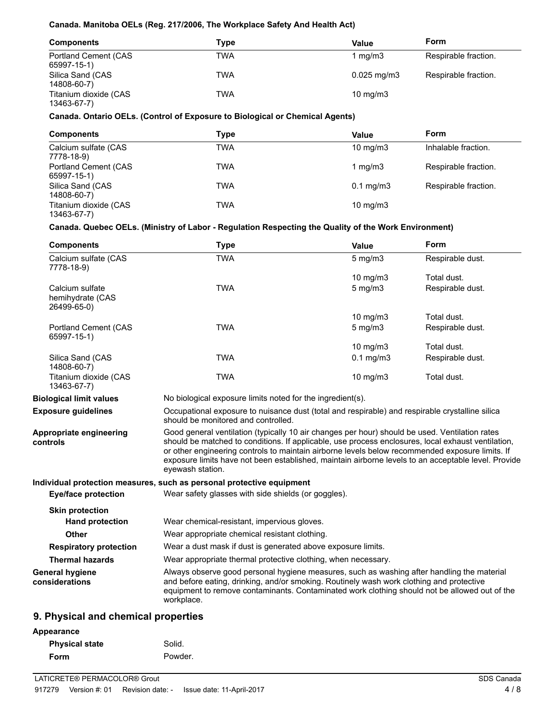#### **Canada. Manitoba OELs (Reg. 217/2006, The Workplace Safety And Health Act)**

| <b>Components</b>                    | Type       | Value                   | Form                 |
|--------------------------------------|------------|-------------------------|----------------------|
| Portland Cement (CAS<br>65997-15-1)  | TWA        | 1 mg/m3                 | Respirable fraction. |
| Silica Sand (CAS<br>14808-60-7)      | <b>TWA</b> | $0.025 \,\mathrm{mq/m}$ | Respirable fraction. |
| Titanium dioxide (CAS<br>13463-67-7) | <b>TWA</b> | $10 \text{ mg/m}$       |                      |

#### **Canada. Ontario OELs. (Control of Exposure to Biological or Chemical Agents)**

| <b>Components</b>                    | Type | Value             | Form                 |
|--------------------------------------|------|-------------------|----------------------|
| Calcium sulfate (CAS<br>7778-18-9)   | TWA  | $10 \text{ mg/m}$ | Inhalable fraction.  |
| Portland Cement (CAS<br>65997-15-1)  | TWA  | 1 $mq/m3$         | Respirable fraction. |
| Silica Sand (CAS<br>14808-60-7)      | TWA  | $0.1$ mg/m $3$    | Respirable fraction. |
| Titanium dioxide (CAS<br>13463-67-7) | TWA  | $10 \text{ mg/m}$ |                      |

# **Canada. Quebec OELs. (Ministry of Labor - Regulation Respecting the Quality of the Work Environment)**

| <b>Components</b>                                  | <b>Type</b>                                                                                                                                                                                                                                                                                                                                                                                                                        | Value                                                         | Form             |  |
|----------------------------------------------------|------------------------------------------------------------------------------------------------------------------------------------------------------------------------------------------------------------------------------------------------------------------------------------------------------------------------------------------------------------------------------------------------------------------------------------|---------------------------------------------------------------|------------------|--|
| Calcium sulfate (CAS<br>7778-18-9)                 | <b>TWA</b>                                                                                                                                                                                                                                                                                                                                                                                                                         | $5$ mg/m $3$                                                  | Respirable dust. |  |
|                                                    |                                                                                                                                                                                                                                                                                                                                                                                                                                    | 10 $mg/m3$                                                    | Total dust.      |  |
| Calcium sulfate<br>hemihydrate (CAS<br>26499-65-0) | <b>TWA</b>                                                                                                                                                                                                                                                                                                                                                                                                                         | $5$ mg/m $3$                                                  | Respirable dust. |  |
|                                                    |                                                                                                                                                                                                                                                                                                                                                                                                                                    | 10 $mg/m3$                                                    | Total dust.      |  |
| Portland Cement (CAS<br>65997-15-1)                | <b>TWA</b>                                                                                                                                                                                                                                                                                                                                                                                                                         | $5$ mg/m $3$                                                  | Respirable dust. |  |
|                                                    |                                                                                                                                                                                                                                                                                                                                                                                                                                    | 10 $mg/m3$                                                    | Total dust.      |  |
| Silica Sand (CAS<br>14808-60-7)                    | <b>TWA</b>                                                                                                                                                                                                                                                                                                                                                                                                                         | $0.1$ mg/m3                                                   | Respirable dust. |  |
| Titanium dioxide (CAS<br>13463-67-7)               | <b>TWA</b>                                                                                                                                                                                                                                                                                                                                                                                                                         | 10 mg/m3                                                      | Total dust.      |  |
| <b>Biological limit values</b>                     | No biological exposure limits noted for the ingredient(s).                                                                                                                                                                                                                                                                                                                                                                         |                                                               |                  |  |
| <b>Exposure guidelines</b>                         | Occupational exposure to nuisance dust (total and respirable) and respirable crystalline silica<br>should be monitored and controlled.                                                                                                                                                                                                                                                                                             |                                                               |                  |  |
| Appropriate engineering<br>controls                | Good general ventilation (typically 10 air changes per hour) should be used. Ventilation rates<br>should be matched to conditions. If applicable, use process enclosures, local exhaust ventilation,<br>or other engineering controls to maintain airborne levels below recommended exposure limits. If<br>exposure limits have not been established, maintain airborne levels to an acceptable level. Provide<br>eyewash station. |                                                               |                  |  |
|                                                    | Individual protection measures, such as personal protective equipment                                                                                                                                                                                                                                                                                                                                                              |                                                               |                  |  |
| Eye/face protection                                | Wear safety glasses with side shields (or goggles).                                                                                                                                                                                                                                                                                                                                                                                |                                                               |                  |  |
| <b>Skin protection</b>                             |                                                                                                                                                                                                                                                                                                                                                                                                                                    |                                                               |                  |  |
| <b>Hand protection</b>                             | Wear chemical-resistant, impervious gloves.                                                                                                                                                                                                                                                                                                                                                                                        |                                                               |                  |  |
| <b>Other</b>                                       | Wear appropriate chemical resistant clothing.                                                                                                                                                                                                                                                                                                                                                                                      |                                                               |                  |  |
| <b>Respiratory protection</b>                      |                                                                                                                                                                                                                                                                                                                                                                                                                                    | Wear a dust mask if dust is generated above exposure limits.  |                  |  |
| <b>Thermal hazards</b>                             |                                                                                                                                                                                                                                                                                                                                                                                                                                    | Wear appropriate thermal protective clothing, when necessary. |                  |  |
| <b>General hygiene</b><br>considerations           | Always observe good personal hygiene measures, such as washing after handling the material<br>and before eating, drinking, and/or smoking. Routinely wash work clothing and protective<br>equipment to remove contaminants. Contaminated work clothing should not be allowed out of the<br>workplace.                                                                                                                              |                                                               |                  |  |
| <b>Q.</b> Physical and chamical proporties         |                                                                                                                                                                                                                                                                                                                                                                                                                                    |                                                               |                  |  |

# **9. Physical and chemical properties**

#### **Appearance**

| <b>Physical state</b> | Solid.  |
|-----------------------|---------|
| Form                  | Powder. |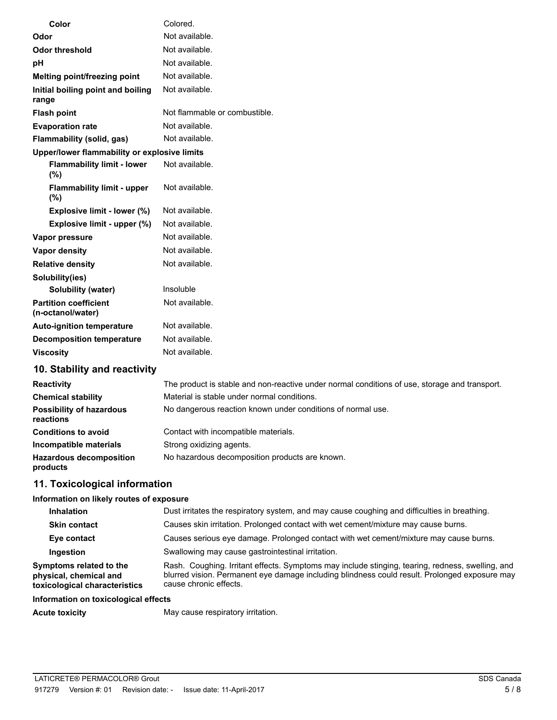| Color                                             | Colored.                      |
|---------------------------------------------------|-------------------------------|
| Odor                                              | Not available.                |
| <b>Odor threshold</b>                             | Not available.                |
| pH                                                | Not available.                |
| Melting point/freezing point                      | Not available.                |
| Initial boiling point and boiling<br>range        | Not available.                |
| <b>Flash point</b>                                | Not flammable or combustible. |
| <b>Evaporation rate</b>                           | Not available.                |
| Flammability (solid, gas)                         | Not available.                |
| Upper/lower flammability or explosive limits      |                               |
| <b>Flammability limit - lower</b><br>(%)          | Not available.                |
| <b>Flammability limit - upper</b><br>(%)          | Not available.                |
| Explosive limit - lower (%)                       | Not available.                |
| Explosive limit - upper (%)                       | Not available.                |
| Vapor pressure                                    | Not available.                |
| <b>Vapor density</b>                              | Not available.                |
| <b>Relative density</b>                           | Not available.                |
| Solubility(ies)                                   |                               |
| Solubility (water)                                | Insoluble                     |
| <b>Partition coefficient</b><br>(n-octanol/water) | Not available.                |
| <b>Auto-ignition temperature</b>                  | Not available.                |
| <b>Decomposition temperature</b>                  | Not available.                |
| <b>Viscosity</b>                                  | Not available.                |
| 10. Stability and reactivity                      |                               |

| The product is stable and non-reactive under normal conditions of use, storage and transport. |
|-----------------------------------------------------------------------------------------------|
| Material is stable under normal conditions.                                                   |
| No dangerous reaction known under conditions of normal use.                                   |
| Contact with incompatible materials.                                                          |
| Strong oxidizing agents.                                                                      |
| No hazardous decomposition products are known.                                                |
|                                                                                               |

# **11. Toxicological information**

#### **Information on likely routes of exposure**

| <b>Inhalation</b>                                                                  | Dust irritates the respiratory system, and may cause coughing and difficulties in breathing.                                                                                                                                |
|------------------------------------------------------------------------------------|-----------------------------------------------------------------------------------------------------------------------------------------------------------------------------------------------------------------------------|
| <b>Skin contact</b>                                                                | Causes skin irritation. Prolonged contact with wet cement/mixture may cause burns.                                                                                                                                          |
| Eye contact                                                                        | Causes serious eye damage. Prolonged contact with wet cement/mixture may cause burns.                                                                                                                                       |
| Ingestion                                                                          | Swallowing may cause gastrointestinal irritation.                                                                                                                                                                           |
| Symptoms related to the<br>physical, chemical and<br>toxicological characteristics | Rash. Coughing. Irritant effects. Symptoms may include stinging, tearing, redness, swelling, and<br>blurred vision. Permanent eye damage including blindness could result. Prolonged exposure may<br>cause chronic effects. |

### **Information on toxicological effects**

Acute toxicity **May cause respiratory irritation.**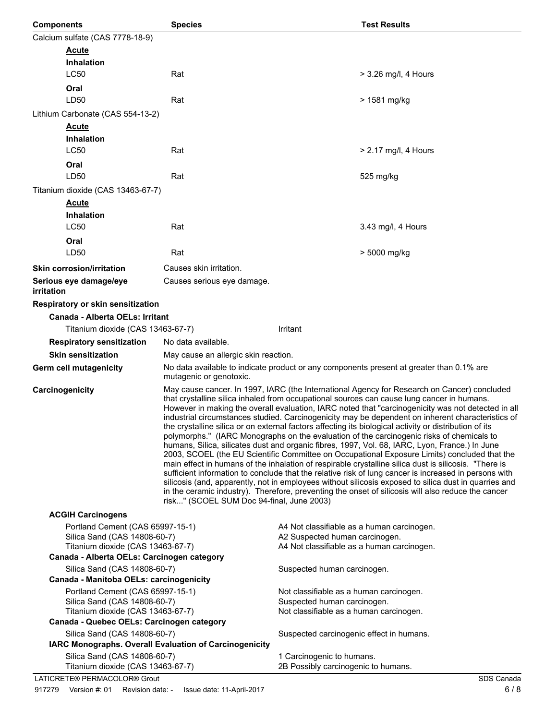| <b>Components</b>                                                | <b>Species</b>                                                                                                                                                                                                                                                                                                                                                                                                                                                                                                                                                                                                                                                                                                                                                                                                                                                                                                                                                                                                                                                                                                                                                                                                                                                                              |                                                                              | <b>Test Results</b>                                                                      |
|------------------------------------------------------------------|---------------------------------------------------------------------------------------------------------------------------------------------------------------------------------------------------------------------------------------------------------------------------------------------------------------------------------------------------------------------------------------------------------------------------------------------------------------------------------------------------------------------------------------------------------------------------------------------------------------------------------------------------------------------------------------------------------------------------------------------------------------------------------------------------------------------------------------------------------------------------------------------------------------------------------------------------------------------------------------------------------------------------------------------------------------------------------------------------------------------------------------------------------------------------------------------------------------------------------------------------------------------------------------------|------------------------------------------------------------------------------|------------------------------------------------------------------------------------------|
| Calcium sulfate (CAS 7778-18-9)                                  |                                                                                                                                                                                                                                                                                                                                                                                                                                                                                                                                                                                                                                                                                                                                                                                                                                                                                                                                                                                                                                                                                                                                                                                                                                                                                             |                                                                              |                                                                                          |
| <b>Acute</b>                                                     |                                                                                                                                                                                                                                                                                                                                                                                                                                                                                                                                                                                                                                                                                                                                                                                                                                                                                                                                                                                                                                                                                                                                                                                                                                                                                             |                                                                              |                                                                                          |
| <b>Inhalation</b>                                                |                                                                                                                                                                                                                                                                                                                                                                                                                                                                                                                                                                                                                                                                                                                                                                                                                                                                                                                                                                                                                                                                                                                                                                                                                                                                                             |                                                                              |                                                                                          |
| <b>LC50</b>                                                      | Rat                                                                                                                                                                                                                                                                                                                                                                                                                                                                                                                                                                                                                                                                                                                                                                                                                                                                                                                                                                                                                                                                                                                                                                                                                                                                                         |                                                                              | > 3.26 mg/l, 4 Hours                                                                     |
| Oral                                                             |                                                                                                                                                                                                                                                                                                                                                                                                                                                                                                                                                                                                                                                                                                                                                                                                                                                                                                                                                                                                                                                                                                                                                                                                                                                                                             |                                                                              |                                                                                          |
| LD50                                                             | Rat                                                                                                                                                                                                                                                                                                                                                                                                                                                                                                                                                                                                                                                                                                                                                                                                                                                                                                                                                                                                                                                                                                                                                                                                                                                                                         |                                                                              | > 1581 mg/kg                                                                             |
| Lithium Carbonate (CAS 554-13-2)                                 |                                                                                                                                                                                                                                                                                                                                                                                                                                                                                                                                                                                                                                                                                                                                                                                                                                                                                                                                                                                                                                                                                                                                                                                                                                                                                             |                                                                              |                                                                                          |
| <b>Acute</b>                                                     |                                                                                                                                                                                                                                                                                                                                                                                                                                                                                                                                                                                                                                                                                                                                                                                                                                                                                                                                                                                                                                                                                                                                                                                                                                                                                             |                                                                              |                                                                                          |
| <b>Inhalation</b>                                                |                                                                                                                                                                                                                                                                                                                                                                                                                                                                                                                                                                                                                                                                                                                                                                                                                                                                                                                                                                                                                                                                                                                                                                                                                                                                                             |                                                                              |                                                                                          |
| <b>LC50</b>                                                      | Rat                                                                                                                                                                                                                                                                                                                                                                                                                                                                                                                                                                                                                                                                                                                                                                                                                                                                                                                                                                                                                                                                                                                                                                                                                                                                                         |                                                                              | $> 2.17$ mg/l, 4 Hours                                                                   |
| Oral                                                             |                                                                                                                                                                                                                                                                                                                                                                                                                                                                                                                                                                                                                                                                                                                                                                                                                                                                                                                                                                                                                                                                                                                                                                                                                                                                                             |                                                                              |                                                                                          |
| LD50                                                             | Rat                                                                                                                                                                                                                                                                                                                                                                                                                                                                                                                                                                                                                                                                                                                                                                                                                                                                                                                                                                                                                                                                                                                                                                                                                                                                                         |                                                                              | 525 mg/kg                                                                                |
| Titanium dioxide (CAS 13463-67-7)                                |                                                                                                                                                                                                                                                                                                                                                                                                                                                                                                                                                                                                                                                                                                                                                                                                                                                                                                                                                                                                                                                                                                                                                                                                                                                                                             |                                                                              |                                                                                          |
| <b>Acute</b>                                                     |                                                                                                                                                                                                                                                                                                                                                                                                                                                                                                                                                                                                                                                                                                                                                                                                                                                                                                                                                                                                                                                                                                                                                                                                                                                                                             |                                                                              |                                                                                          |
| <b>Inhalation</b>                                                |                                                                                                                                                                                                                                                                                                                                                                                                                                                                                                                                                                                                                                                                                                                                                                                                                                                                                                                                                                                                                                                                                                                                                                                                                                                                                             |                                                                              |                                                                                          |
| <b>LC50</b>                                                      | Rat                                                                                                                                                                                                                                                                                                                                                                                                                                                                                                                                                                                                                                                                                                                                                                                                                                                                                                                                                                                                                                                                                                                                                                                                                                                                                         |                                                                              | 3.43 mg/l, 4 Hours                                                                       |
| Oral                                                             |                                                                                                                                                                                                                                                                                                                                                                                                                                                                                                                                                                                                                                                                                                                                                                                                                                                                                                                                                                                                                                                                                                                                                                                                                                                                                             |                                                                              |                                                                                          |
| LD50                                                             | Rat                                                                                                                                                                                                                                                                                                                                                                                                                                                                                                                                                                                                                                                                                                                                                                                                                                                                                                                                                                                                                                                                                                                                                                                                                                                                                         |                                                                              | > 5000 mg/kg                                                                             |
| <b>Skin corrosion/irritation</b>                                 | Causes skin irritation.                                                                                                                                                                                                                                                                                                                                                                                                                                                                                                                                                                                                                                                                                                                                                                                                                                                                                                                                                                                                                                                                                                                                                                                                                                                                     |                                                                              |                                                                                          |
| Serious eye damage/eye<br>irritation                             | Causes serious eye damage.                                                                                                                                                                                                                                                                                                                                                                                                                                                                                                                                                                                                                                                                                                                                                                                                                                                                                                                                                                                                                                                                                                                                                                                                                                                                  |                                                                              |                                                                                          |
| Respiratory or skin sensitization                                |                                                                                                                                                                                                                                                                                                                                                                                                                                                                                                                                                                                                                                                                                                                                                                                                                                                                                                                                                                                                                                                                                                                                                                                                                                                                                             |                                                                              |                                                                                          |
| <b>Canada - Alberta OELs: Irritant</b>                           |                                                                                                                                                                                                                                                                                                                                                                                                                                                                                                                                                                                                                                                                                                                                                                                                                                                                                                                                                                                                                                                                                                                                                                                                                                                                                             |                                                                              |                                                                                          |
| Titanium dioxide (CAS 13463-67-7)                                |                                                                                                                                                                                                                                                                                                                                                                                                                                                                                                                                                                                                                                                                                                                                                                                                                                                                                                                                                                                                                                                                                                                                                                                                                                                                                             | Irritant                                                                     |                                                                                          |
| <b>Respiratory sensitization</b>                                 | No data available.                                                                                                                                                                                                                                                                                                                                                                                                                                                                                                                                                                                                                                                                                                                                                                                                                                                                                                                                                                                                                                                                                                                                                                                                                                                                          |                                                                              |                                                                                          |
| <b>Skin sensitization</b>                                        | May cause an allergic skin reaction.                                                                                                                                                                                                                                                                                                                                                                                                                                                                                                                                                                                                                                                                                                                                                                                                                                                                                                                                                                                                                                                                                                                                                                                                                                                        |                                                                              |                                                                                          |
| Germ cell mutagenicity                                           | mutagenic or genotoxic.                                                                                                                                                                                                                                                                                                                                                                                                                                                                                                                                                                                                                                                                                                                                                                                                                                                                                                                                                                                                                                                                                                                                                                                                                                                                     |                                                                              | No data available to indicate product or any components present at greater than 0.1% are |
| Carcinogenicity                                                  | May cause cancer. In 1997, IARC (the International Agency for Research on Cancer) concluded<br>that crystalline silica inhaled from occupational sources can cause lung cancer in humans.<br>However in making the overall evaluation, IARC noted that "carcinogenicity was not detected in all<br>industrial circumstances studied. Carcinogenicity may be dependent on inherent characteristics of<br>the crystalline silica or on external factors affecting its biological activity or distribution of its<br>polymorphs." (IARC Monographs on the evaluation of the carcinogenic risks of chemicals to<br>humans, Silica, silicates dust and organic fibres, 1997, Vol. 68, IARC, Lyon, France.) In June<br>2003, SCOEL (the EU Scientific Committee on Occupational Exposure Limits) concluded that the<br>main effect in humans of the inhalation of respirable crystalline silica dust is silicosis. "There is<br>sufficient information to conclude that the relative risk of lung cancer is increased in persons with<br>silicosis (and, apparently, not in employees without silicosis exposed to silica dust in quarries and<br>in the ceramic industry). Therefore, preventing the onset of silicosis will also reduce the cancer<br>risk" (SCOEL SUM Doc 94-final, June 2003) |                                                                              |                                                                                          |
| <b>ACGIH Carcinogens</b>                                         |                                                                                                                                                                                                                                                                                                                                                                                                                                                                                                                                                                                                                                                                                                                                                                                                                                                                                                                                                                                                                                                                                                                                                                                                                                                                                             |                                                                              |                                                                                          |
| Portland Cement (CAS 65997-15-1)<br>Silica Sand (CAS 14808-60-7) |                                                                                                                                                                                                                                                                                                                                                                                                                                                                                                                                                                                                                                                                                                                                                                                                                                                                                                                                                                                                                                                                                                                                                                                                                                                                                             | A4 Not classifiable as a human carcinogen.<br>A2 Suspected human carcinogen. |                                                                                          |
| Titanium dioxide (CAS 13463-67-7)                                |                                                                                                                                                                                                                                                                                                                                                                                                                                                                                                                                                                                                                                                                                                                                                                                                                                                                                                                                                                                                                                                                                                                                                                                                                                                                                             | A4 Not classifiable as a human carcinogen.                                   |                                                                                          |
| Canada - Alberta OELs: Carcinogen category                       |                                                                                                                                                                                                                                                                                                                                                                                                                                                                                                                                                                                                                                                                                                                                                                                                                                                                                                                                                                                                                                                                                                                                                                                                                                                                                             |                                                                              |                                                                                          |
| Silica Sand (CAS 14808-60-7)                                     |                                                                                                                                                                                                                                                                                                                                                                                                                                                                                                                                                                                                                                                                                                                                                                                                                                                                                                                                                                                                                                                                                                                                                                                                                                                                                             | Suspected human carcinogen.                                                  |                                                                                          |
| Canada - Manitoba OELs: carcinogenicity                          |                                                                                                                                                                                                                                                                                                                                                                                                                                                                                                                                                                                                                                                                                                                                                                                                                                                                                                                                                                                                                                                                                                                                                                                                                                                                                             |                                                                              |                                                                                          |
| Portland Cement (CAS 65997-15-1)<br>Silica Sand (CAS 14808-60-7) |                                                                                                                                                                                                                                                                                                                                                                                                                                                                                                                                                                                                                                                                                                                                                                                                                                                                                                                                                                                                                                                                                                                                                                                                                                                                                             | Not classifiable as a human carcinogen.                                      |                                                                                          |
| Titanium dioxide (CAS 13463-67-7)                                | Suspected human carcinogen.<br>Not classifiable as a human carcinogen.                                                                                                                                                                                                                                                                                                                                                                                                                                                                                                                                                                                                                                                                                                                                                                                                                                                                                                                                                                                                                                                                                                                                                                                                                      |                                                                              |                                                                                          |
| Canada - Quebec OELs: Carcinogen category                        |                                                                                                                                                                                                                                                                                                                                                                                                                                                                                                                                                                                                                                                                                                                                                                                                                                                                                                                                                                                                                                                                                                                                                                                                                                                                                             |                                                                              |                                                                                          |
| Silica Sand (CAS 14808-60-7)                                     |                                                                                                                                                                                                                                                                                                                                                                                                                                                                                                                                                                                                                                                                                                                                                                                                                                                                                                                                                                                                                                                                                                                                                                                                                                                                                             | Suspected carcinogenic effect in humans.                                     |                                                                                          |
| IARC Monographs. Overall Evaluation of Carcinogenicity           |                                                                                                                                                                                                                                                                                                                                                                                                                                                                                                                                                                                                                                                                                                                                                                                                                                                                                                                                                                                                                                                                                                                                                                                                                                                                                             |                                                                              |                                                                                          |
|                                                                  | Silica Sand (CAS 14808-60-7)<br>1 Carcinogenic to humans.<br>2B Possibly carcinogenic to humans.<br>Titanium dioxide (CAS 13463-67-7)                                                                                                                                                                                                                                                                                                                                                                                                                                                                                                                                                                                                                                                                                                                                                                                                                                                                                                                                                                                                                                                                                                                                                       |                                                                              |                                                                                          |
| LATICRETE® PERMACOLOR® Grout                                     |                                                                                                                                                                                                                                                                                                                                                                                                                                                                                                                                                                                                                                                                                                                                                                                                                                                                                                                                                                                                                                                                                                                                                                                                                                                                                             |                                                                              | SDS Canada                                                                               |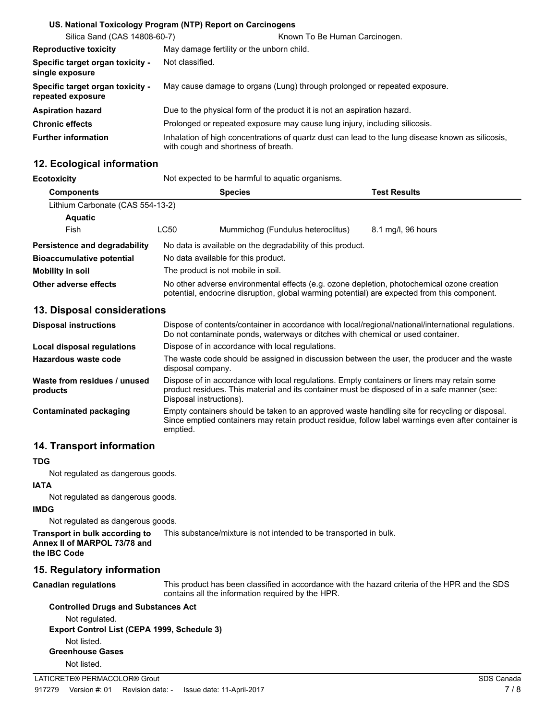|                                                       | US. National Toxicology Program (NTP) Report on Carcinogens                                                                              |
|-------------------------------------------------------|------------------------------------------------------------------------------------------------------------------------------------------|
| Silica Sand (CAS 14808-60-7)                          | Known To Be Human Carcinogen.                                                                                                            |
| <b>Reproductive toxicity</b>                          | May damage fertility or the unborn child.                                                                                                |
| Specific target organ toxicity -<br>single exposure   | Not classified.                                                                                                                          |
| Specific target organ toxicity -<br>repeated exposure | May cause damage to organs (Lung) through prolonged or repeated exposure.                                                                |
| <b>Aspiration hazard</b>                              | Due to the physical form of the product it is not an aspiration hazard.                                                                  |
| <b>Chronic effects</b>                                | Prolonged or repeated exposure may cause lung injury, including silicosis.                                                               |
| <b>Further information</b>                            | Inhalation of high concentrations of quartz dust can lead to the lung disease known as silicosis.<br>with cough and shortness of breath. |

# **12. Ecological information**

| Ecotoxicity                      | Not expected to be harmful to aquatic organisms.                                                                                                                                           |                                   |                    |
|----------------------------------|--------------------------------------------------------------------------------------------------------------------------------------------------------------------------------------------|-----------------------------------|--------------------|
| <b>Components</b>                | <b>Species</b><br><b>Test Results</b>                                                                                                                                                      |                                   |                    |
| Lithium Carbonate (CAS 554-13-2) |                                                                                                                                                                                            |                                   |                    |
| <b>Aquatic</b>                   |                                                                                                                                                                                            |                                   |                    |
| Fish                             | LC50                                                                                                                                                                                       | Mummichog (Fundulus heteroclitus) | 8.1 mg/l, 96 hours |
| Persistence and degradability    | No data is available on the degradability of this product.                                                                                                                                 |                                   |                    |
| <b>Bioaccumulative potential</b> | No data available for this product.                                                                                                                                                        |                                   |                    |
| Mobility in soil                 | The product is not mobile in soil.                                                                                                                                                         |                                   |                    |
| Other adverse effects            | No other adverse environmental effects (e.g. ozone depletion, photochemical ozone creation<br>potential, endocrine disruption, global warming potential) are expected from this component. |                                   |                    |

# **13. Disposal considerations**

| <b>Disposal instructions</b>             | Dispose of contents/container in accordance with local/regional/national/international regulations.<br>Do not contaminate ponds, waterways or ditches with chemical or used container.                                 |
|------------------------------------------|------------------------------------------------------------------------------------------------------------------------------------------------------------------------------------------------------------------------|
| Local disposal regulations               | Dispose of in accordance with local regulations.                                                                                                                                                                       |
| Hazardous waste code                     | The waste code should be assigned in discussion between the user, the producer and the waste<br>disposal company.                                                                                                      |
| Waste from residues / unused<br>products | Dispose of in accordance with local regulations. Empty containers or liners may retain some<br>product residues. This material and its container must be disposed of in a safe manner (see:<br>Disposal instructions). |
| Contaminated packaging                   | Empty containers should be taken to an approved waste handling site for recycling or disposal.<br>Since emptied containers may retain product residue, follow label warnings even after container is<br>emptied.       |

# **14. Transport information**

#### **TDG**

Not regulated as dangerous goods.

#### **IATA**

Not regulated as dangerous goods.

#### **IMDG**

Not regulated as dangerous goods.

| Transport in bulk according to | This substance/mixture is not intended to be transported in bulk. |
|--------------------------------|-------------------------------------------------------------------|
| Annex II of MARPOL 73/78 and   |                                                                   |
| the IBC Code                   |                                                                   |

# **15. Regulatory information**

#### **Canadian regulations**

This product has been classified in accordance with the hazard criteria of the HPR and the SDS contains all the information required by the HPR.

#### **Controlled Drugs and Substances Act**

Not regulated. **Export Control List (CEPA 1999, Schedule 3)** Not listed. **Greenhouse Gases** Not listed.